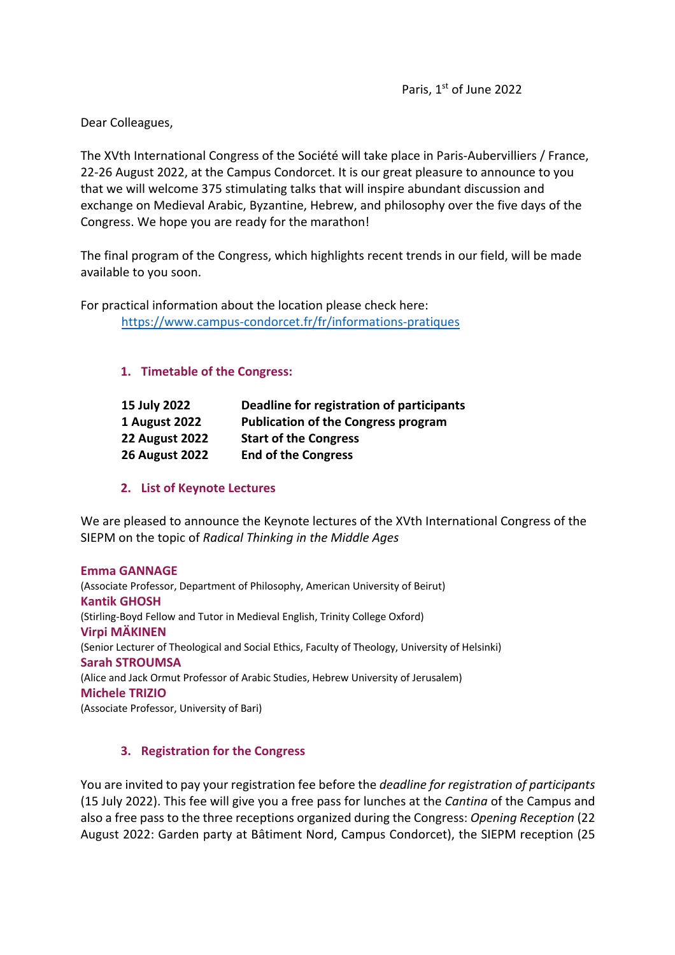Dear Colleagues,

The XVth International Congress of the Société will take place in Paris-Aubervilliers / France, 22-26 August 2022, at the Campus Condorcet. It is our great pleasure to announce to you that we will welcome 375 stimulating talks that will inspire abundant discussion and exchange on Medieval Arabic, Byzantine, Hebrew, and philosophy over the five days of the Congress. We hope you are ready for the marathon!

The final program of the Congress, which highlights recent trends in our field, will be made available to you soon.

For practical information about the location please check here: https://www.campus-condorcet.fr/fr/informations-pratiques

## **1. Timetable of the Congress:**

| 15 July 2022          | Deadline for registration of participants  |
|-----------------------|--------------------------------------------|
| 1 August 2022         | <b>Publication of the Congress program</b> |
| <b>22 August 2022</b> | <b>Start of the Congress</b>               |
| <b>26 August 2022</b> | <b>End of the Congress</b>                 |

**2. List of Keynote Lectures**

We are pleased to announce the Keynote lectures of the XVth International Congress of the SIEPM on the topic of *Radical Thinking in the Middle Ages*

**Emma GANNAGE** (Associate Professor, Department of Philosophy, American University of Beirut) **Kantik GHOSH** (Stirling-Boyd Fellow and Tutor in Medieval English, Trinity College Oxford) **Virpi MÄKINEN** (Senior Lecturer of Theological and Social Ethics, Faculty of Theology, University of Helsinki) **Sarah STROUMSA** (Alice and Jack Ormut Professor of Arabic Studies, Hebrew University of Jerusalem) **Michele TRIZIO** (Associate Professor, University of Bari)

## **3. Registration for the Congress**

You are invited to pay your registration fee before the *deadline for registration of participants* (15 July 2022). This fee will give you a free pass for lunches at the *Cantina* of the Campus and also a free pass to the three receptions organized during the Congress: *Opening Reception* (22 August 2022: Garden party at Bâtiment Nord, Campus Condorcet), the SIEPM reception (25